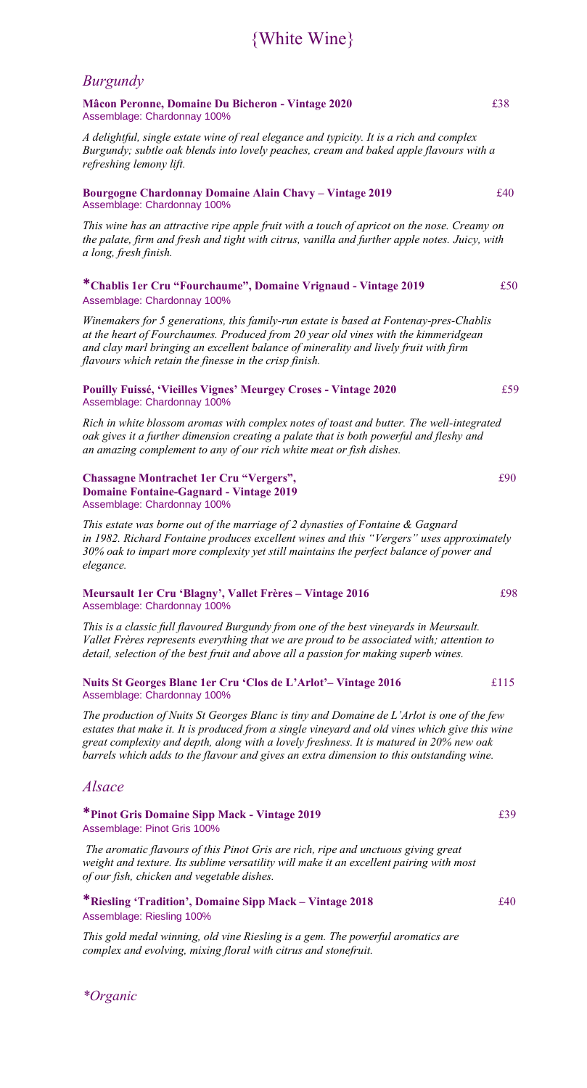## {White Wine}

## *Burgundy*

**Mâcon Peronne, Domaine Du Bicheron - Vintage 2020** £38 Assemblage: Chardonnay 100%

*A delightful, single estate wine of real elegance and typicity. It is a rich and complex Burgundy; subtle oak blends into lovely peaches, cream and baked apple flavours with a refreshing lemony lift.*

#### **Bourgogne Chardonnay Domaine Alain Chavy – Vintage 2019** £40 Assemblage: Chardonnay 100%

*This wine has an attractive ripe apple fruit with a touch of apricot on the nose. Creamy on the palate, firm and fresh and tight with citrus, vanilla and further apple notes. Juicy, with a long, fresh finish.*

#### **\*Chablis 1er Cru "Fourchaume", Domaine Vrignaud - Vintage 2019** £50 Assemblage: Chardonnay 100%

*Winemakers for 5 generations, this family-run estate is based at Fontenay-pres-Chablis at the heart of Fourchaumes. Produced from 20 year old vines with the kimmeridgean and clay marl bringing an excellent balance of minerality and lively fruit with firm flavours which retain the finesse in the crisp finish.*

#### **Pouilly Fuissé, 'Vieilles Vignes' Meurgey Croses - Vintage 2020** £59 Assemblage: Chardonnay 100%

*Rich in white blossom aromas with complex notes of toast and butter. The well-integrated oak gives it a further dimension creating a palate that is both powerful and fleshy and an amazing complement to any of our rich white meat or fish dishes.* 

#### **Chassagne Montrachet 1er Cru "Vergers",** £90 **Domaine Fontaine-Gagnard - Vintage 2019**  Assemblage: Chardonnay 100%

*This estate was borne out of the marriage of 2 dynasties of Fontaine & Gagnard in 1982. Richard Fontaine produces excellent wines and this "Vergers" uses approximately 30% oak to impart more complexity yet still maintains the perfect balance of power and elegance.*

#### **Meursault 1er Cru 'Blagny', Vallet Frères – Vintage 2016** £98 Assemblage: Chardonnay 100%

*This is a classic full flavoured Burgundy from one of the best vineyards in Meursault. Vallet Frères represents everything that we are proud to be associated with; attention to detail, selection of the best fruit and above all a passion for making superb wines.*

#### **Nuits St Georges Blanc 1er Cru 'Clos de L'Arlot'– Vintage 2016** £115 Assemblage: Chardonnay 100%

*The production of Nuits St Georges Blanc is tiny and Domaine de L'Arlot is one of the few estates that make it. It is produced from a single vineyard and old vines which give this wine great complexity and depth, along with a lovely freshness. It is matured in 20% new oak barrels which adds to the flavour and gives an extra dimension to this outstanding wine.*

### *Alsace*

#### **\*Pinot Gris Domaine Sipp Mack - Vintage 2019** £39 Assemblage: Pinot Gris 100%

*The aromatic flavours of this Pinot Gris are rich, ripe and unctuous giving great weight and texture. Its sublime versatility will make it an excellent pairing with most of our fish, chicken and vegetable dishes.*

**\*Riesling 'Tradition', Domaine Sipp Mack – Vintage 2018** £40 Assemblage: Riesling 100%

*This gold medal winning, old vine Riesling is a gem. The powerful aromatics are complex and evolving, mixing floral with citrus and stonefruit.* 

*\*Organic*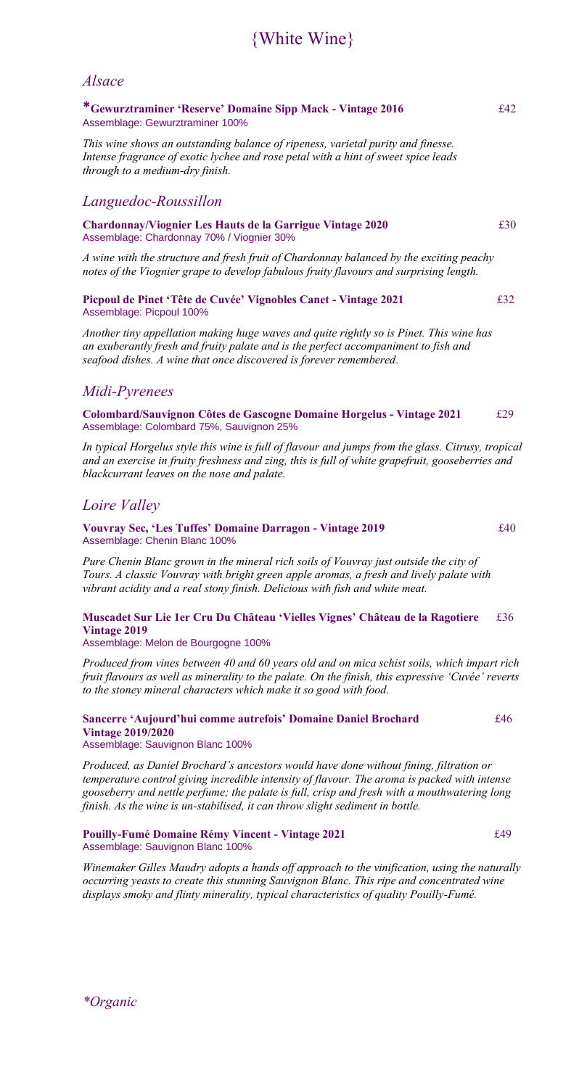## {White Wine}

### *Alsace*

### **\*Gewurztraminer 'Reserve' Domaine Sipp Mack - Vintage 2016** £42 Assemblage: Gewurztraminer 100%

*This wine shows an outstanding balance of ripeness, varietal purity and finesse. Intense fragrance of exotic lychee and rose petal with a hint of sweet spice leads through to a medium-dry finish.*

### *Languedoc-Roussillon*

**Chardonnay/Viognier Les Hauts de la Garrigue Vintage 2020** £30 Assemblage: Chardonnay 70% / Viognier 30%

*A wine with the structure and fresh fruit of Chardonnay balanced by the exciting peachy notes of the Viognier grape to develop fabulous fruity flavours and surprising length.*

**Picpoul de Pinet 'Tête de Cuvée' Vignobles Canet - Vintage 2021** £32 Assemblage: Picpoul 100%

*Another tiny appellation making huge waves and quite rightly so is Pinet. This wine has an exuberantly fresh and fruity palate and is the perfect accompaniment to fish and seafood dishes. A wine that once discovered is forever remembered.*

## *Midi-Pyrenees*

**Colombard/Sauvignon Côtes de Gascogne Domaine Horgelus - Vintage 2021** £29 Assemblage: Colombard 75%, Sauvignon 25%

*In typical Horgelus style this wine is full of flavour and jumps from the glass. Citrusy, tropical and an exercise in fruity freshness and zing, this is full of white grapefruit, gooseberries and blackcurrant leaves on the nose and palate.* 

## *Loire Valley*

#### **Vouvray Sec, 'Les Tuffes' Domaine Darragon - Vintage 2019** £40 Assemblage: Chenin Blanc 100%

*Pure Chenin Blanc grown in the mineral rich soils of Vouvray just outside the city of Tours. A classic Vouvray with bright green apple aromas, a fresh and lively palate with vibrant acidity and a real stony finish. Delicious with fish and white meat.*

### **Muscadet Sur Lie 1er Cru Du Château 'Vielles Vignes' Château de la Ragotiere** £36 **Vintage 2019**

Assemblage: Melon de Bourgogne 100%

*Produced from vines between 40 and 60 years old and on mica schist soils, which impart rich fruit flavours as well as minerality to the palate. On the finish, this expressive 'Cuvée' reverts to the stoney mineral characters which make it so good with food.*

### **Sancerre 'Aujourd'hui comme autrefois' Domaine Daniel Brochard** £46 **Vintage 2019/2020**

Assemblage: Sauvignon Blanc 100%

*Produced, as Daniel Brochard's ancestors would have done without fining, filtration or temperature control giving incredible intensity of flavour. The aroma is packed with intense gooseberry and nettle perfume; the palate is full, crisp and fresh with a mouthwatering long finish. As the wine is un-stabilised, it can throw slight sediment in bottle.*

#### **Pouilly-Fumé Domaine Rémy Vincent - Vintage 2021** £49 Assemblage: Sauvignon Blanc 100%

*Winemaker Gilles Maudry adopts a hands off approach to the vinification, using the naturally occurring yeasts to create this stunning Sauvignon Blanc. This ripe and concentrated wine displays smoky and flinty minerality, typical characteristics of quality Pouilly-Fumé.*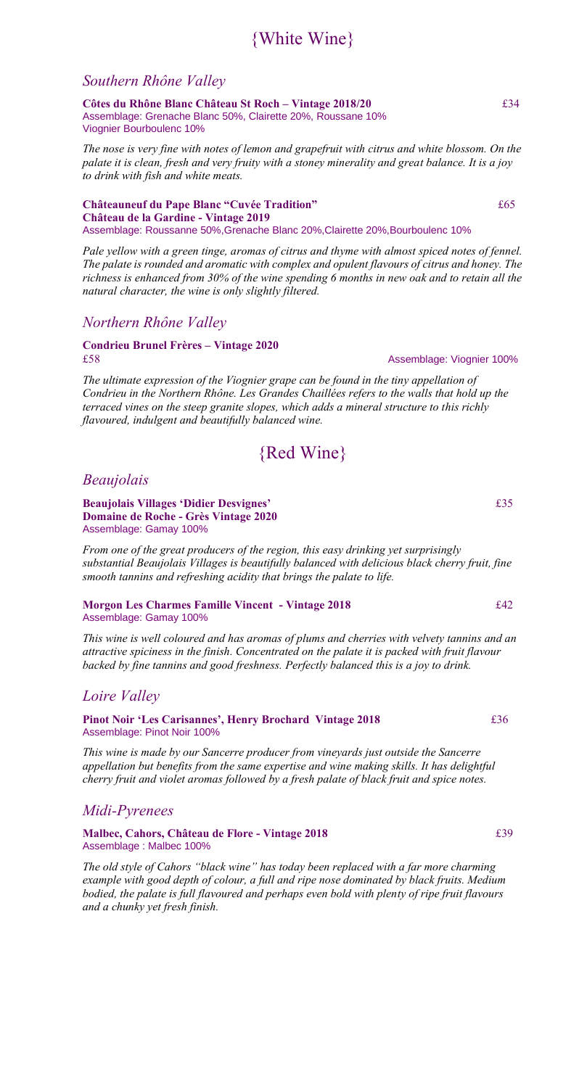## {White Wine}

### *Southern Rhône Valley*

**Côtes du Rhône Blanc Château St Roch – Vintage 2018/20** £34 Assemblage: Grenache Blanc 50%, Clairette 20%, Roussane 10% Viognier Bourboulenc 10%

*The nose is very fine with notes of lemon and grapefruit with citrus and white blossom. On the palate it is clean, fresh and very fruity with a stoney minerality and great balance. It is a joy to drink with fish and white meats.*

**Châteauneuf du Pape Blanc "Cuvée Tradition"** £65 **Château de la Gardine - Vintage 2019**  Assemblage: Roussanne 50%,Grenache Blanc 20%,Clairette 20%,Bourboulenc 10%

*Pale yellow with a green tinge, aromas of citrus and thyme with almost spiced notes of fennel. The palate is rounded and aromatic with complex and opulent flavours of citrus and honey. The richness is enhanced from 30% of the wine spending 6 months in new oak and to retain all the natural character, the wine is only slightly filtered.* 

### *Northern Rhône Valley*

# **Condrieu Brunel Frères – Vintage 2020**

*The ultimate expression of the Viognier grape can be found in the tiny appellation of Condrieu in the Northern Rhône. Les Grandes Chaillées refers to the walls that hold up the terraced vines on the steep granite slopes, which adds a mineral structure to this richly flavoured, indulgent and beautifully balanced wine.*

## {Red Wine}

*Beaujolais*

**Beaujolais Villages 'Didier Desvignes'** £35 **Domaine de Roche - Grès Vintage 2020**  Assemblage: Gamay 100%

*From one of the great producers of the region, this easy drinking yet surprisingly substantial Beaujolais Villages is beautifully balanced with delicious black cherry fruit, fine smooth tannins and refreshing acidity that brings the palate to life.*

#### **Morgon Les Charmes Famille Vincent - Vintage 2018** £42 Assemblage: Gamay 100%

*This wine is well coloured and has aromas of plums and cherries with velvety tannins and an attractive spiciness in the finish. Concentrated on the palate it is packed with fruit flavour backed by fine tannins and good freshness. Perfectly balanced this is a joy to drink.*

## *Loire Valley*

**Pinot Noir 'Les Carisannes', Henry Brochard Vintage 2018** £36 Assemblage: Pinot Noir 100%

*This wine is made by our Sancerre producer from vineyards just outside the Sancerre appellation but benefits from the same expertise and wine making skills. It has delightful cherry fruit and violet aromas followed by a fresh palate of black fruit and spice notes.*

## *Midi-Pyrenees*

**Malbec, Cahors, Château de Flore - Vintage 2018** £39 Assemblage : Malbec 100%

*The old style of Cahors "black wine" has today been replaced with a far more charming example with good depth of colour, a full and ripe nose dominated by black fruits. Medium bodied, the palate is full flavoured and perhaps even bold with plenty of ripe fruit flavours and a chunky yet fresh finish.*

£58Assemblage: Viognier 100%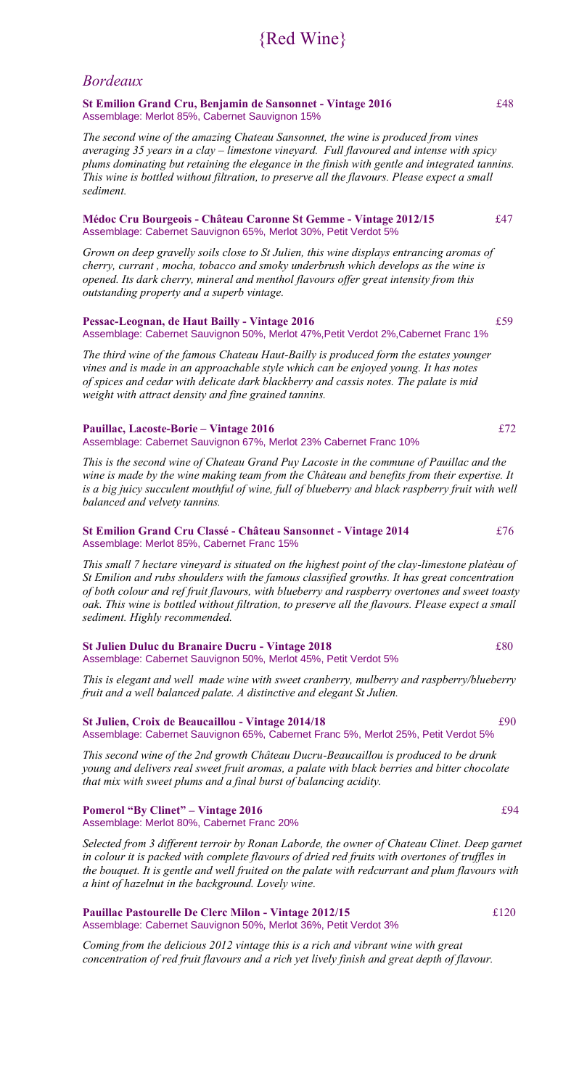## {Red Wine}

## *Bordeaux*

**St Emilion Grand Cru, Benjamin de Sansonnet - Vintage 2016** £48 Assemblage: Merlot 85%, Cabernet Sauvignon 15%

*The second wine of the amazing Chateau Sansonnet, the wine is produced from vines averaging 35 years in a clay – limestone vineyard. Full flavoured and intense with spicy plums dominating but retaining the elegance in the finish with gentle and integrated tannins. This wine is bottled without filtration, to preserve all the flavours. Please expect a small sediment.*

#### **Médoc Cru Bourgeois - Château Caronne St Gemme - Vintage 2012/15** £47 Assemblage: Cabernet Sauvignon 65%, Merlot 30%, Petit Verdot 5%

*Grown on deep gravelly soils close to St Julien, this wine displays entrancing aromas of cherry, currant , mocha, tobacco and smoky underbrush which develops as the wine is opened. Its dark cherry, mineral and menthol flavours offer great intensity from this outstanding property and a superb vintage.*

#### **Pessac-Leognan, de Haut Bailly - Vintage 2016** £59 Assemblage: Cabernet Sauvignon 50%, Merlot 47%,Petit Verdot 2%,Cabernet Franc 1%

*The third wine of the famous Chateau Haut-Bailly is produced form the estates younger vines and is made in an approachable style which can be enjoyed young. It has notes of spices and cedar with delicate dark blackberry and cassis notes. The palate is mid weight with attract density and fine grained tannins.*

#### **Pauillac, Lacoste-Borie – Vintage 2016** £72 Assemblage: Cabernet Sauvignon 67%, Merlot 23% Cabernet Franc 10%

*This is the second wine of Chateau Grand Puy Lacoste in the commune of Pauillac and the wine is made by the wine making team from the Château and benefits from their expertise. It*  is a big juicy succulent mouthful of wine, full of blueberry and black raspberry fruit with well *balanced and velvety tannins.*

#### **St Emilion Grand Cru Classé - Château Sansonnet - Vintage 2014** £76 Assemblage: Merlot 85%, Cabernet Franc 15%

*This small 7 hectare vineyard is situated on the highest point of the clay-limestone platèau of St Emilion and rubs shoulders with the famous classified growths. It has great concentration of both colour and ref fruit flavours, with blueberry and raspberry overtones and sweet toasty oak. This wine is bottled without filtration, to preserve all the flavours. Please expect a small sediment. Highly recommended.*

#### **St Julien Duluc du Branaire Ducru - Vintage 2018** £80 Assemblage: Cabernet Sauvignon 50%, Merlot 45%, Petit Verdot 5%

*This is elegant and well made wine with sweet cranberry, mulberry and raspberry/blueberry fruit and a well balanced palate. A distinctive and elegant St Julien.*

#### **St Julien, Croix de Beaucaillou - Vintage 2014/18** £90 Assemblage: Cabernet Sauvignon 65%, Cabernet Franc 5%, Merlot 25%, Petit Verdot 5%

*This second wine of the 2nd growth Château Ducru-Beaucaillou is produced to be drunk young and delivers real sweet fruit aromas, a palate with black berries and bitter chocolate that mix with sweet plums and a final burst of balancing acidity.*

#### **Pomerol "By Clinet" – Vintage 2016** £94 Assemblage: Merlot 80%, Cabernet Franc 20%

Selected from 3 different terroir by Ronan Laborde, the owner of Chateau Clinet. Deep garnet *in colour it is packed with complete flavours of dried red fruits with overtones of truffles in the bouquet. It is gentle and well fruited on the palate with redcurrant and plum flavours with a hint of hazelnut in the background. Lovely wine.*

#### **Pauillac Pastourelle De Clerc Milon - Vintage 2012/15** £120 Assemblage: Cabernet Sauvignon 50%, Merlot 36%, Petit Verdot 3%

*Coming from the delicious 2012 vintage this is a rich and vibrant wine with great concentration of red fruit flavours and a rich yet lively finish and great depth of flavour.*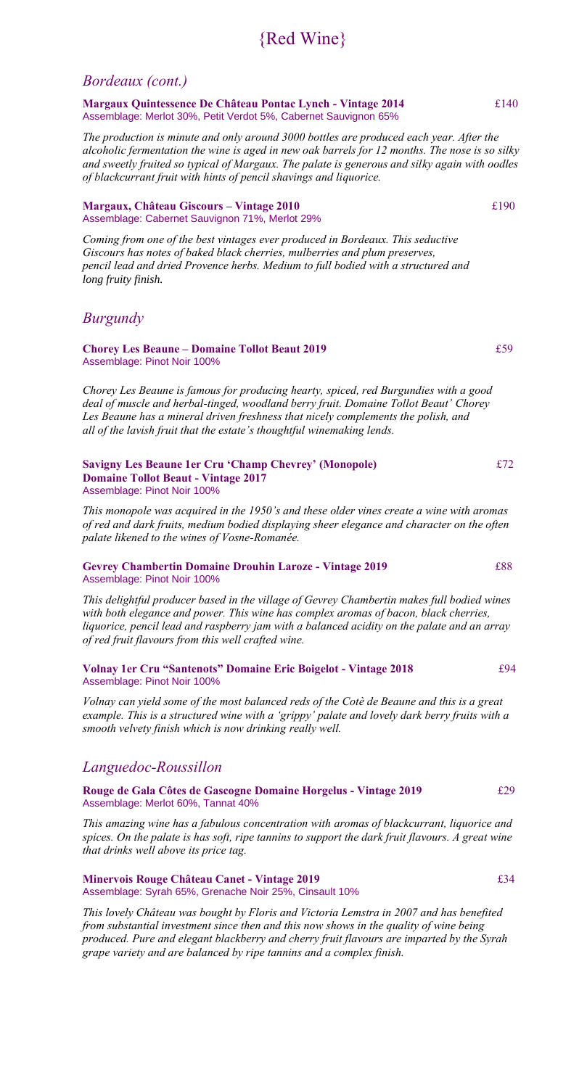## {Red Wine}

### *Bordeaux (cont.)*

**Margaux Quintessence De Château Pontac Lynch - Vintage 2014** £140 Assemblage: Merlot 30%, Petit Verdot 5%, Cabernet Sauvignon 65%

*The production is minute and only around 3000 bottles are produced each year. After the alcoholic fermentation the wine is aged in new oak barrels for 12 months. The nose is so silky and sweetly fruited so typical of Margaux. The palate is generous and silky again with oodles of blackcurrant fruit with hints of pencil shavings and liquorice.*

#### **Margaux, Château Giscours – Vintage 2010** £190 Assemblage: Cabernet Sauvignon 71%, Merlot 29%

*Coming from one of the best vintages ever produced in Bordeaux. This seductive Giscours has notes of baked black cherries, mulberries and plum preserves, pencil lead and dried Provence herbs. Medium to full bodied with a structured and long fruity finish.*

## *Burgundy*

#### **Chorey Les Beaune – Domaine Tollot Beaut 2019** £59 Assemblage: Pinot Noir 100%

*Chorey Les Beaune is famous for producing hearty, spiced, red Burgundies with a good deal of muscle and herbal-tinged, woodland berry fruit. Domaine Tollot Beaut' Chorey Les Beaune has a mineral driven freshness that nicely complements the polish, and all of the lavish fruit that the estate's thoughtful winemaking lends.*

#### **Savigny Les Beaune 1er Cru 'Champ Chevrey' (Monopole)** £72 **Domaine Tollot Beaut - Vintage 2017**  Assemblage: Pinot Noir 100%

*This monopole was acquired in the 1950's and these older vines create a wine with aromas of red and dark fruits, medium bodied displaying sheer elegance and character on the often palate likened to the wines of Vosne-Romanée.*

#### **Gevrey Chambertin Domaine Drouhin Laroze - Vintage 2019** £88 Assemblage: Pinot Noir 100%

*This delightful producer based in the village of Gevrey Chambertin makes full bodied wines with both elegance and power. This wine has complex aromas of bacon, black cherries, liquorice, pencil lead and raspberry jam with a balanced acidity on the palate and an array of red fruit flavours from this well crafted wine.*

#### **Volnay 1er Cru "Santenots" Domaine Eric Boigelot - Vintage 2018** £94 Assemblage: Pinot Noir 100%

*Volnay can yield some of the most balanced reds of the Cotè de Beaune and this is a great example. This is a structured wine with a 'grippy' palate and lovely dark berry fruits with a smooth velvety finish which is now drinking really well.*

## *Languedoc-Roussillon*

**Rouge de Gala Côtes de Gascogne Domaine Horgelus - Vintage 2019**£29 Assemblage: Merlot 60%, Tannat 40%

*This amazing wine has a fabulous concentration with aromas of blackcurrant, liquorice and spices. On the palate is has soft, ripe tannins to support the dark fruit flavours. A great wine that drinks well above its price tag.*

#### **Minervois Rouge Château Canet - Vintage 2019**£34 Assemblage: Syrah 65%, Grenache Noir 25%, Cinsault 10%

*This lovely Château was bought by Floris and Victoria Lemstra in 2007 and has benefited from substantial investment since then and this now shows in the quality of wine being produced. Pure and elegant blackberry and cherry fruit flavours are imparted by the Syrah grape variety and are balanced by ripe tannins and a complex finish.*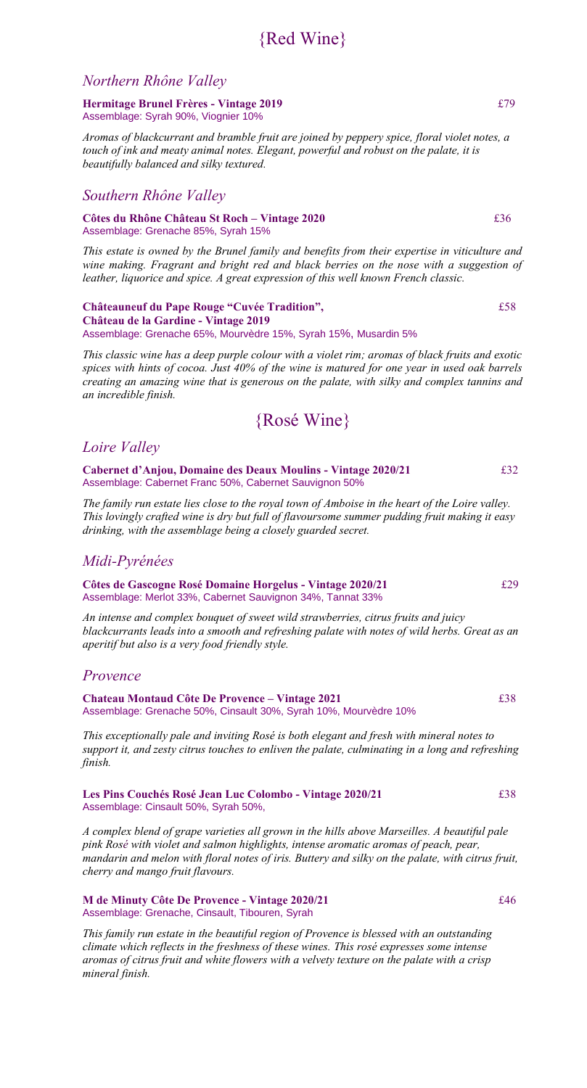## {Red Wine}

## *Northern Rhône Valley*

**Hermitage Brunel Frères - Vintage 2019** £79 Assemblage: Syrah 90%, Viognier 10%

*Aromas of blackcurrant and bramble fruit are joined by peppery spice, floral violet notes, a touch of ink and meaty animal notes. Elegant, powerful and robust on the palate, it is beautifully balanced and silky textured.*

## *Southern Rhône Valley*

**Côtes du Rhône Château St Roch – Vintage 2020** £36 Assemblage: Grenache 85%, Syrah 15%

*This estate is owned by the Brunel family and benefits from their expertise in viticulture and wine making. Fragrant and bright red and black berries on the nose with a suggestion of leather, liquorice and spice. A great expression of this well known French classic.*

**Châteauneuf du Pape Rouge "Cuvée Tradition",** £58 **Château de la Gardine - Vintage 2019** Assemblage: Grenache 65%, Mourvèdre 15%, Syrah 15%, Musardin 5%

*This classic wine has a deep purple colour with a violet rim; aromas of black fruits and exotic spices with hints of cocoa. Just 40% of the wine is matured for one year in used oak barrels creating an amazing wine that is generous on the palate, with silky and complex tannins and an incredible finish.*

## {Rosé Wine}

## *Loire Valley*

**Cabernet d'Anjou, Domaine des Deaux Moulins - Vintage 2020/21** £32 Assemblage: Cabernet Franc 50%, Cabernet Sauvignon 50%

*The family run estate lies close to the royal town of Amboise in the heart of the Loire valley. This lovingly crafted wine is dry but full of flavoursome summer pudding fruit making it easy drinking, with the assemblage being a closely guarded secret.*

## *Midi-Pyrénées*

**Côtes de Gascogne Rosé Domaine Horgelus - Vintage 2020/21** £29 Assemblage: Merlot 33%, Cabernet Sauvignon 34%, Tannat 33%

*An intense and complex bouquet of sweet wild strawberries, citrus fruits and juicy blackcurrants leads into a smooth and refreshing palate with notes of wild herbs. Great as an aperitif but also is a very food friendly style.*

## *Provence*

**Chateau Montaud Côte De Provence – Vintage 2021** £38 Assemblage: Grenache 50%, Cinsault 30%, Syrah 10%, Mourvèdre 10%

*This exceptionally pale and inviting Rosé is both elegant and fresh with mineral notes to support it, and zesty citrus touches to enliven the palate, culminating in a long and refreshing finish.*

**Les Pins Couchés Rosé Jean Luc Colombo - Vintage 2020/21** £38 Assemblage: Cinsault 50%, Syrah 50%,

*A complex blend of grape varieties all grown in the hills above Marseilles. A beautiful pale pink Rosé with violet and salmon highlights, intense aromatic aromas of peach, pear, mandarin and melon with floral notes of iris. Buttery and silky on the palate, with citrus fruit, cherry and mango fruit flavours.* 

**M de Minuty Côte De Provence - Vintage 2020/21** £46 Assemblage: Grenache, Cinsault, Tibouren, Syrah

*This family run estate in the beautiful region of Provence is blessed with an outstanding climate which reflects in the freshness of these wines. This rosé expresses some intense aromas of citrus fruit and white flowers with a velvety texture on the palate with a crisp mineral finish.*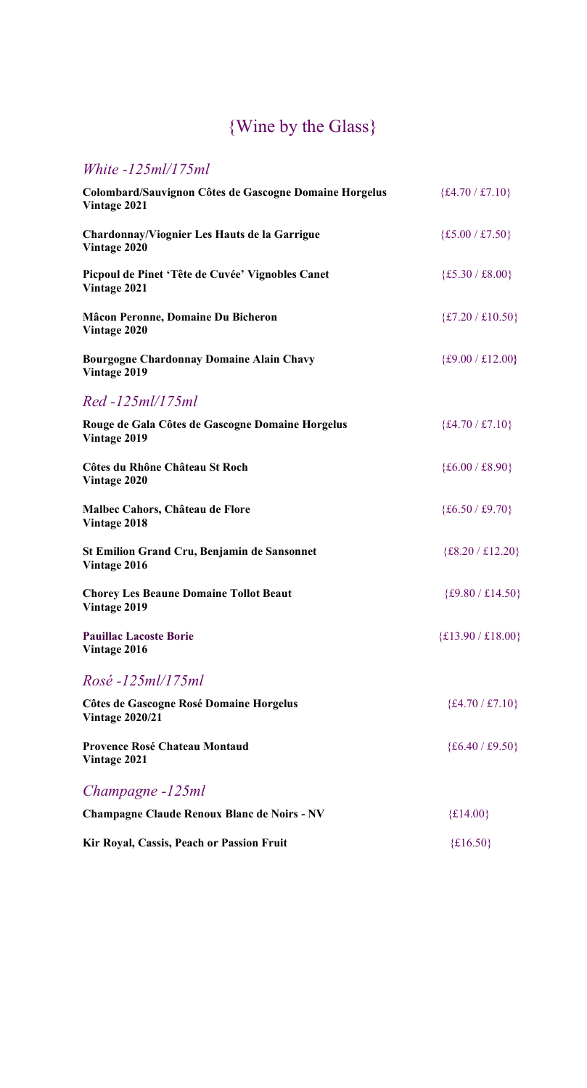# {Wine by the Glass}

## *White -125ml/175ml*

| Colombard/Sauvignon Côtes de Gascogne Domaine Horgelus<br>Vintage 2021 | ${£4.70 / £7.10}$   |
|------------------------------------------------------------------------|---------------------|
| Chardonnay/Viognier Les Hauts de la Garrigue<br>Vintage 2020           | ${£5.00 / £7.50}$   |
| Picpoul de Pinet 'Tête de Cuvée' Vignobles Canet<br>Vintage 2021       | ${£5.30 / £8.00}$   |
| <b>Mâcon Peronne, Domaine Du Bicheron</b><br>Vintage 2020              | ${£7.20 / £10.50}$  |
| <b>Bourgogne Chardonnay Domaine Alain Chavy</b><br>Vintage 2019        | ${£9.00 / £12.00}$  |
| Red -125ml/175ml                                                       |                     |
| Rouge de Gala Côtes de Gascogne Domaine Horgelus<br>Vintage 2019       | ${£4.70 / £7.10}$   |
| Côtes du Rhône Château St Roch<br><b>Vintage 2020</b>                  | ${£6.00 / £8.90}$   |
| Malbec Cahors, Château de Flore<br>Vintage 2018                        | ${£6.50 / £9.70}$   |
| <b>St Emilion Grand Cru, Benjamin de Sansonnet</b><br>Vintage 2016     | ${£8.20 / £12.20}$  |
| <b>Chorey Les Beaune Domaine Tollot Beaut</b><br>Vintage 2019          | ${£9.80 / £14.50}$  |
| <b>Pauillac Lacoste Borie</b><br>Vintage 2016                          | ${£13.90 / £18.00}$ |
| Rosé -125ml/175ml                                                      |                     |
| Côtes de Gascogne Rosé Domaine Horgelus<br><b>Vintage 2020/21</b>      | ${£4.70 / £7.10}$   |
| <b>Provence Rosé Chateau Montaud</b><br>Vintage 2021                   | $\{£6.40 / £9.50\}$ |
| Champagne -125ml                                                       |                     |
| <b>Champagne Claude Renoux Blanc de Noirs - NV</b>                     | ${£14.00}$          |
| Kir Royal, Cassis, Peach or Passion Fruit                              | ${£16.50}$          |